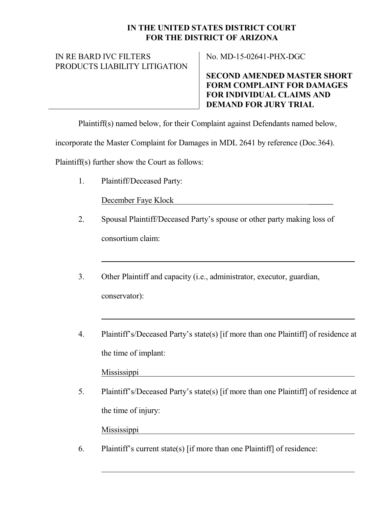## **IN THE UNITED STATES DISTRICT COURT FOR THE DISTRICT OF ARIZONA**

## IN RE BARD IVC FILTERS PRODUCTS LIABILITY LITIGATION

No. MD-15-02641-PHX-DGC

**SECOND AMENDED MASTER SHORT FORM COMPLAINT FOR DAMAGES FOR INDIVIDUAL CLAIMS AND DEMAND FOR JURY TRIAL**

Plaintiff(s) named below, for their Complaint against Defendants named below,

incorporate the Master Complaint for Damages in MDL 2641 by reference (Doc.364).

Plaintiff(s) further show the Court as follows:

1. Plaintiff/Deceased Party:

December Faye Klock \_\_\_\_\_\_

- 2. Spousal Plaintiff/Deceased Party's spouse or other party making loss of consortium claim:
- 3. Other Plaintiff and capacity (i.e., administrator, executor, guardian, conservator):
- 4. Plaintiff's/Deceased Party's state(s) [if more than one Plaintiff] of residence at the time of implant:

Mississippi

5. Plaintiff's/Deceased Party's state(s) [if more than one Plaintiff] of residence at the time of injury:

Mississippi

6. Plaintiff's current state(s) [if more than one Plaintiff] of residence: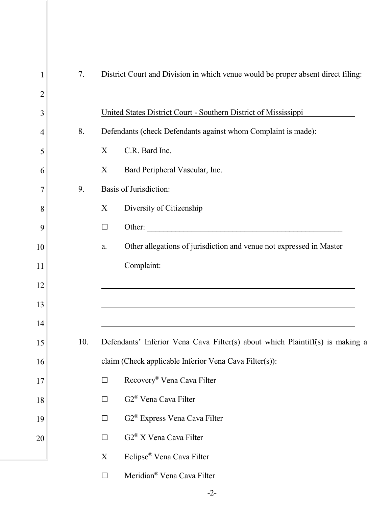| $\mathbf 1$    | 7.  | District Court and Division in which venue would be proper absent direct filing: |  |  |  |  |
|----------------|-----|----------------------------------------------------------------------------------|--|--|--|--|
| $\overline{2}$ |     |                                                                                  |  |  |  |  |
| 3              |     | United States District Court - Southern District of Mississippi                  |  |  |  |  |
| 4              | 8.  | Defendants (check Defendants against whom Complaint is made):                    |  |  |  |  |
| 5              |     | C.R. Bard Inc.<br>X                                                              |  |  |  |  |
| 6              |     | Bard Peripheral Vascular, Inc.<br>X                                              |  |  |  |  |
| 7              | 9.  | Basis of Jurisdiction:                                                           |  |  |  |  |
| 8              |     | X<br>Diversity of Citizenship                                                    |  |  |  |  |
| 9              |     | Other:<br>$\Box$                                                                 |  |  |  |  |
| 10             |     | Other allegations of jurisdiction and venue not expressed in Master<br>a.        |  |  |  |  |
| 11             |     | Complaint:                                                                       |  |  |  |  |
| 12             |     |                                                                                  |  |  |  |  |
| 13             |     |                                                                                  |  |  |  |  |
| 14             |     |                                                                                  |  |  |  |  |
| 15             | 10. | Defendants' Inferior Vena Cava Filter(s) about which Plaintiff(s) is making a    |  |  |  |  |
| 16             |     | claim (Check applicable Inferior Vena Cava Filter(s)):                           |  |  |  |  |
| 17             |     | Recovery® Vena Cava Filter<br>$\Box$                                             |  |  |  |  |
| 18             |     | G2 <sup>®</sup> Vena Cava Filter<br>$\Box$                                       |  |  |  |  |
| 19             |     | G2 <sup>®</sup> Express Vena Cava Filter<br>$\Box$                               |  |  |  |  |
| 20             |     | G2 <sup>®</sup> X Vena Cava Filter<br>$\Box$                                     |  |  |  |  |
|                |     | Eclipse® Vena Cava Filter<br>X                                                   |  |  |  |  |
|                |     | Meridian <sup>®</sup> Vena Cava Filter<br>$\Box$                                 |  |  |  |  |
|                |     |                                                                                  |  |  |  |  |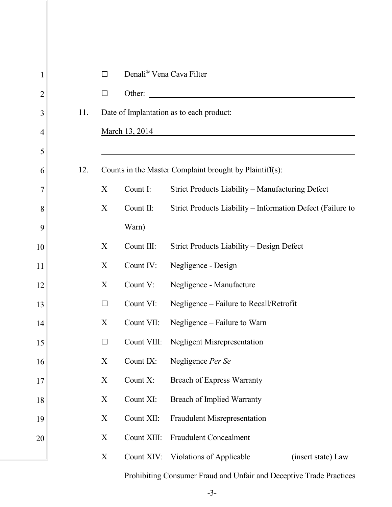| 1              |     | $\Box$                                                  | Denali <sup>®</sup> Vena Cava Filter |                                                                     |
|----------------|-----|---------------------------------------------------------|--------------------------------------|---------------------------------------------------------------------|
| $\overline{c}$ |     | $\Box$                                                  | Other:                               |                                                                     |
| 3              | 11. |                                                         |                                      | Date of Implantation as to each product:                            |
| 4              |     |                                                         | March 13, 2014                       |                                                                     |
| 5              |     |                                                         |                                      |                                                                     |
| 6              | 12. | Counts in the Master Complaint brought by Plaintiff(s): |                                      |                                                                     |
| 7              |     | X                                                       | Count I:                             | Strict Products Liability - Manufacturing Defect                    |
| 8              |     | X                                                       | Count II:                            | Strict Products Liability - Information Defect (Failure to          |
| 9              |     |                                                         | Warn)                                |                                                                     |
| 10             |     | X                                                       | Count III:                           | Strict Products Liability – Design Defect                           |
| 11             |     | X                                                       | Count IV:                            | Negligence - Design                                                 |
| 12             |     | X                                                       | Count V:                             | Negligence - Manufacture                                            |
| 13             |     | $\Box$                                                  | Count VI:                            | Negligence - Failure to Recall/Retrofit                             |
| 14             |     | X                                                       | Count VII:                           | Negligence – Failure to Warn                                        |
| 15             |     | $\Box$                                                  | Count VIII:                          | <b>Negligent Misrepresentation</b>                                  |
| 16             |     | X                                                       | Count IX:                            | Negligence Per Se                                                   |
| 17             |     | X                                                       | Count X:                             | <b>Breach of Express Warranty</b>                                   |
| 18             |     | X                                                       | Count XI:                            | <b>Breach of Implied Warranty</b>                                   |
| 19             |     | X                                                       | Count XII:                           | <b>Fraudulent Misrepresentation</b>                                 |
| 20             |     | X                                                       | Count XIII:                          | <b>Fraudulent Concealment</b>                                       |
|                |     | X                                                       |                                      | Count XIV: Violations of Applicable _________ (insert state) Law    |
|                |     |                                                         |                                      | Prohibiting Consumer Fraud and Unfair and Deceptive Trade Practices |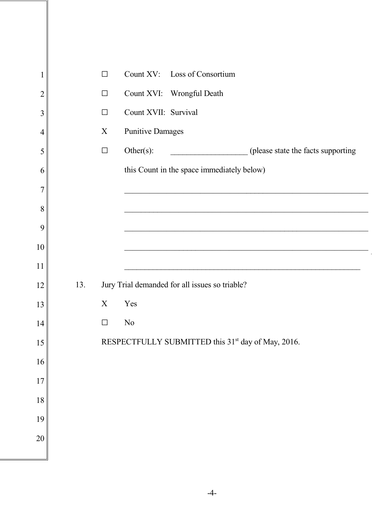| $\mathbf{1}$   |     | $\Box$      | Count XV: Loss of Consortium                                   |
|----------------|-----|-------------|----------------------------------------------------------------|
| $\overline{2}$ |     | $\Box$      | Count XVI: Wrongful Death                                      |
| $\overline{3}$ |     | $\Box$      | Count XVII: Survival                                           |
| $\overline{4}$ |     | $\mathbf X$ | <b>Punitive Damages</b>                                        |
| 5              |     | $\Box$      | Other $(s)$ :<br>(please state the facts supporting            |
| 6              |     |             | this Count in the space immediately below)                     |
| 7              |     |             |                                                                |
| 8              |     |             |                                                                |
| 9              |     |             |                                                                |
| 10             |     |             |                                                                |
| 11             |     |             |                                                                |
| 12             | 13. |             | Jury Trial demanded for all issues so triable?                 |
| 13             |     | X           | Yes                                                            |
| 14             |     | $\Box$      | N <sub>0</sub>                                                 |
| 15             |     |             | RESPECTFULLY SUBMITTED this 31 <sup>st</sup> day of May, 2016. |
| 16             |     |             |                                                                |
| 17             |     |             |                                                                |
| 18             |     |             |                                                                |
| 19             |     |             |                                                                |
| 20             |     |             |                                                                |
|                |     |             |                                                                |